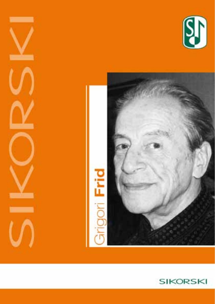



-

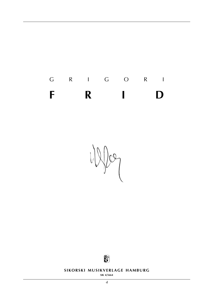g r i g o r i **f r i d**

 $\sqrt{\alpha}$ 



**SIKORSKI MUSIKVERLAGE HAMBURG** 

**sik 4/5664**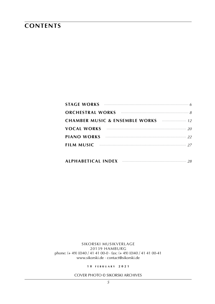### **contents**

| STAGE WORKS $\cdots$ |
|----------------------|
|                      |
|                      |
|                      |
|                      |
| <b>FILM MUSIC</b> 27 |
|                      |

| ALPHABETICAL INDEX |  |  |
|--------------------|--|--|
|--------------------|--|--|

sikorski Musikverlage 20139 hamburg phone: (+ 49) (0)40 / 41 41 00-0 · fax: (+ 49) (0)40 / 41 41 00-41 www.sikorski.de · contact@sikorski.de

**1 0 f e bru a r y 2 0 2 1**

cover photo © Sikorski archives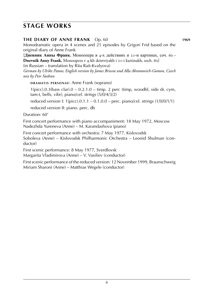## **stage works**

#### **the diary of anne frank** Op. 60 **1969**

Monodramatic opera in 4 scenes and 21 episodes by Grigori Frid based on the original diary of Anne Frank

[**Дневник Анны Франк.** Моноопера в 4-х действиях и 21-и картинах, соч. 60 **· Dnevnik Anny Frank.** Monoopera v 4-kh deistviyakh i 21-i kartinakh, soch. 60]

(in Russian – translation by Rita Rait-Kvalyova)

*German by Ulrike Patow, English version by James Briscoe and Alla Abramovich-Gomon, Czech text by Petr Stedron*

**DRAMATIS PERSONAE: Anne Frank (soprano)** 

 $1(pice).0.3(bass clar).0 - 0.2.1.0 - timp.2 perc (time, woodbl, side dr, cym,$ tam-t, bells, vibr), piano/cel. strings (5/0/4/3/2)

reduced version I:  $1$ (picc).0.1.1 – 0.1.0.0 – perc. piano/cel. strings  $(1/0/0/1/1)$ 

reduced version II: piano. perc. db

Duration: 60'

First concert performance with piano accompaniment: 18 May 1972, Moscow Nadezhda Yureneva (Anne) – M. Karandashova (piano)

First concert performance with orchestra: 7 May 1977, Kislovodsk

Soboleva (Anne) – Kislovodsk Philharmonic Orchestra – Leonid Shulman (conductor)

First scenic performance: 8 May 1977, Sverdlovsk

Margarita Vladimirova (Anne) – V. Vasiliev (conductor)

First scenic performance of the reduced version: 12 November 1999, Braunschweig Miriam Sharoni (Anne) – Matthias Wegele (conductor)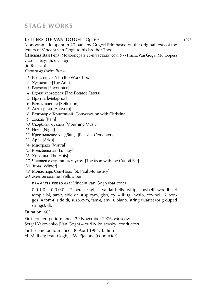## **stage works**

#### **letters of van gogh** Op. 69 **1975** Monodramatic opera in 20 parts by Grigori Frid based on the original texts of the letters of Vincent van Gogh to his brother Theo

[**Письма Ван Гога.** Моноопера в 20-и частьях, соч. 69 **· Pisma Van Goga.** Monoopera

v 20-i chastyakh, soch. 69]

(in Russian)

*German by Ulrike Patow*

- *1*. В мастерской [in the Workshop]
- *2*. Художник [The Artist]
- *3*. Встреча [Encounter]
- *4*. Едоки картофеля [The Potatoe Eaters]
- *5*. Притча [Metaphor]
- *6*. Размышление [Reflexion]
- *7*. Антверпен [Antwerp]
- *8*. Разговор с Христиной [Conversation with Christina]
- *9*. Дождь [Rain]
- *10*. Скорбная музыка [Mourning Music]
- *11*. Ночь [Night]
- *12*. Крестьянское кладбище [Peasant Cementery]
- *13*. Арль [Arles]
- *14*. Мистраль [Mistral]
- *15*. Колыбельная [Lullaby]
- *16*. Хижины [The Huts]
- *17*. Человек с отрезанным ухом [The Man with the Cut off Ear]
- *18*. Зима [Winter]
- *19*. Монастырь Сен-Поль [St. Paul Monastery]
- *20*. Жёлтое солнце [Yellow Sun]

**DRAMATIS PERSONAE: Vincent van Gogh (baritone)** 

0.0.1.0 – 0.0.0.0 – 2 perc (I: tgl, 4 Valdai bells, whip, cowbell, woodbl, 4 temple bl, tamb, side dr, susp.cym, glsp, xyl – II: tgl, whip, cowbell, 2 bongos, 4 tom-t, side dr, susp.cym, tam-t, anvil). piano. string quartet (or grouped strings). db

Duration: 60'

First concert performance: 29 November 1976, Moscow

Sergei Yakovenko (Van Gogh) – Yuri Nikolaevsky (conductor)

First scenic performance: 30 April 1984, Tallinn

H. Mijlberg (Van Gogh) – W. Pjachna (conductor)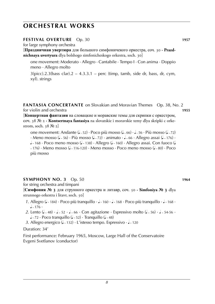#### **festival overture** Op. 30 **1957**

for large symphony orchestra

[**Праздничная увертюра** для большого симфоничекого оркестра, соч. 30 **· Prazdnichnaya uvertyura** dlya bolshogo simfonicheskogo orkestra, soch. 30]

one movement: Moderato · Allegro · Cantabile · Tempo I · Con anima · Doppio meno · Allegro molto

 $3(pice).2.3(bass clar).2 - 4.3.3.1 - perc (time, tamb, side dr, bass, dr, cym,$ xyl). strings

**FANTASIA CONCERTANTE** on Slovakian and Moravian Themes Op. 38, No. 2 for violin and orchestra **1955**

[**Концертная фантазия** на словацкие и моравские темы для скрипки с оркестром, соч. 38 № 2 **· Kontsertnaya fantasiya** na slovatskie i moravskie temy dlya skripki c orkestrom, soch. 38 № 2]

one movement: Andante ( $\sqrt{252}$  · Poco più mosso ( $\sqrt{256}$  ·  $\sqrt{256}$  · Più mosso ( $\sqrt{22}$ ) · Meno mosso ( $\sqrt{ }$  - 56) · Più mosso ( $\sqrt{ }$  - 72) · animato ·  $\sqrt{ }$  - 66 · Allegro assai ( $\sqrt{ }$  - 176) ·  $\downarrow$  168 · Poco meno mosso ( $\downarrow$  138) · Allegro ( $\downarrow$  160) · Allegro assai. Con fuoco ( ~ 176) · Meno mosso (J ~ 116-120) · Meno mosso · Poco meno mosso (J ~ 80) · Poco<br>. . . più mosso

#### **symphony no. 3** Op. 50 **1964**

for string orchestra and timpani

[**Симфония № 3** для струнного оркестра и литавр, соч. 50 **· Simfoniya № 3** dlya strunnogo orkestra i litavr, soch. 50]

- 1. Allegro ( $\sqrt{3}$  184) · Poco più tranquillo ·  $\sqrt{3}$  160 ·  $\sqrt{3}$  168 · Poco più tranquillo ·  $\sqrt{3}$  168 ·  $\frac{1}{2}$  – 176 ·
- 2. Lento ( $\sqrt{3}$  48) ·  $\sqrt{3}$   $\sqrt{5}$   $\sqrt{6}$  · Con agitazione · Espressivo molto ( $\sqrt{3}$  56) ·  $\sqrt{3}$  54-56 ·  $\sqrt{2}$  · Poco tranquillo ( $\sqrt{2}$  · Tranquillo ( $\sqrt{2}$  / 48)
- *3*. Allegro energico (↓ 132) · L'istesso tempo. Espressivo · ↓ 120

#### Duration: 34'

First performance: February 1965, Moscow, Large Hall of the Conservatoire Evgeni Svetlanov (conductor)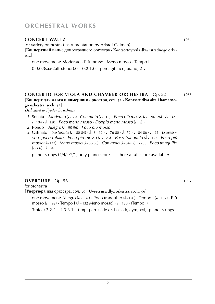#### **concert waltz 1964**

for variety orchestra (instrumentation by Arkadi Gelman)

[**Концертный вальс** для эстрадного оркестра **· Kontsertny vals** dlya estradnogo orkestra]

one movement: Moderato · Più mosso · Meno mosso · Tempo I

0.0.0.3sax(2alto,tenor).0 – 0.2.1.0 – perc. git. acc, piano, 2 vl

#### **concerto for viola and chamber orchestra** Op. 52 **1965** [**Концерт для альта и камерного оркестра**, соч. 52 **· Kontsert dlya alta i kamernogo orkestra**, soch. 52]

*Dedicated to Fyodor Druzhinin*

- *1*. Sonata *Moderato* (1 66) · *Con moto* (1 116) · *Poco più mosso* (1 120 126) · 1 132 ·  $\frac{1}{2}$  104 ·  $\frac{1}{2}$  · *Poco meno mosso* · *Doppio meno mosso* ( $\frac{1}{2}$  =  $\frac{1}{2}$ ) ·
	- *2*. Rondo *Allegro* (q . ˜ 90-96) · *Poco più mosso*
	- *3*. Ostinato *Sostenuto* (1 ~ 80-84) ·  $\sqrt{6.84}$  ·  $\sqrt{6.80}$  ·  $\sqrt{6.80}$  ·  $\sqrt{6.80}$  ·  $\sqrt{6.80}$  ·  $\sqrt{6.80}$ *vo e poco rubato · Poco più mosso* ( $\sim$  126) · *Poco tranquillo* ( $\sim$  112) · *Poco più mosso* (4 - 132) · *Meno mosso* (4 - 60-66) · *Con moto* (4 - 84-92) · 4 - 80 · *Poco tranquillo*<br>.  $($ •  $-66) \cdot$ •  $-84$

piano. strings  $(4/4/4/2/1)$  only piano score – is there a full score available?

#### **OVERTURE** Op. 56 **1967**

for orchestra

[**Увертюра** для оркестра, соч. 56 **· Uvertyura** dlya orkestra, soch. 56]

one movement: Allegro (k ~ 132) · Poco tranquillo (k ~ 120) · Tempo I (k ~ 132) · Più mosso (J. ~ 92) • Tempo I (J. ~ 132 Meno mosso) • J. ~ 120 • (Tempo I)

 $3(pice).2.2.2 - 4.3.3.1 - timp.$  perc (side dr, bass dr, cym, xyl). piano. strings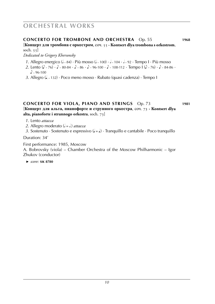#### **concerto for trombone and orchestra** Op. 55 **1968**

[**Концерт для тромбона с оркестром**, соч. 55 **· Kontsert dlya trombona s orkestrom**, soch. 55]

*Dedicated to Grigory Khersonsky*

- 1. Allegro energico (1 84) · Più mosso (1 100) · 1 104 · 1 92 · Tempo I · Più mosso
- 2. Lento (1 76) · 1 80-84 · 1 86 · 1 96-100 · 1 108-112 · Tempo I (1 76) · 1 84-86 ·  $\sqrt{2}$  – 96-100
- *3*. Allegro (q . ˜ 132) · Poco meno mosso · Rubato (quasi cadenza) · Tempo I

### **concerto for viola, piano and strings** Op. 73 **1981**

[**Концерт для альта, пианофорте и струнного оркестра**, соч. 73 **· Kontsert dlya alta, pianoforte i strunnogo orkestra**, soch. 73]

*1*. Lento *attacca*

*2*. Allegro moderato ( $\epsilon = \epsilon$ .) *attacca* 

3. Sostenuto · Sostenuto e espressivo  $(J = J)$  · Tranquillo e cantabile · Poco tranquillo

Duration: 34'

First performance: 1985, Moscow A. Bobrovsky (viola) – Chamber Orchestra of the Moscow Philharmonic – Igor Zhukov (conductor)

 ► *score:* **sik 8780**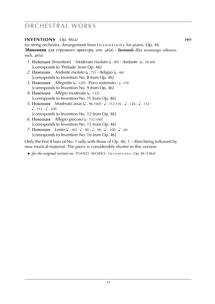#### **inventions** Op. 46(a) **19??**

for string orchestra. Arrangement from Inventions for piano, Op. 46 [**Инвенции** для струнного оркестра, соч. 46(а) **· Inventsii** dlya strunnogo orkestra, soch. 46(a)

- *1*. Инвенция [Invention] *Moderato risoluto* (1 × 80) · *Andante* (1 × 56-60) [corresponds to 'Prelude' from Op. 46]
- 2. Инвенция Andante risoluto (1 × 72) · Adagio (1 × 46) [corresponds to Invention No. 8 from Op. 46]
- 3. Инвенция *Allegretto* (1 ~ 120) · Poco sostenuto · 1 ~ 116 [corresponds to Invention No. 9 from Op. 46]
- 4. Инвенция *Allegro moderato* (2 132) [corresponds to Invention No. 11 from Op. 46]
- $5.$  *Инвенция Moderato assai* ( $\triangle$  ~ 96-100)  $\cdot$   $\triangle$  112-116  $\cdot$   $\triangle$  126  $\cdot$   $\triangle$  132  $\cdot$  $\sqrt{2}$  - 112 ·  $\sqrt{2}$  - 100 [corresponds to Invention No. 12 from Op. 46]
	- 6. Инвенция *Allegro giocoso* (1 ~ 152-160) [corresponds to Invention No. 15 from Op. 46]
	- *7*. Инвенция Lento  $(\lambda \cdot 66) \cdot \lambda \cdot 80 \cdot \lambda \cdot 96 \cdot \lambda \cdot 100 \cdot \lambda \cdot 60$ [corresponds to Invention No. 16 from Op. 46]

Only the first 8 bars of No. 1 tally with those of Op. 46, 1 – then being followed by new musical material. The piece is considerably shorter in this version.

 ► *for the original version see:* PIANO WORKS: I n v e n t i o n s , Op. 46 [1964]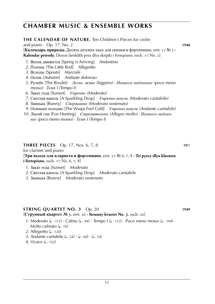**the calendar of nature.** Ten Children's Pieces for violin

| and piano $Op. 17$ , No. 2                                                                                             | 1948 |
|------------------------------------------------------------------------------------------------------------------------|------|
| [Календарь природы. Десять детских пьес для скипки и фортепиано, соч. 17 № 2 .                                         |      |
| Kalendar prirody. Desyat detskikh pyes dlya skripki i fortepiano, soch. 17 No. 2]                                      |      |
| 1. Весна движется [Spring is Arriving] Andantino                                                                       |      |
| 2. Птичик [The Little Bird] Allegretto                                                                                 |      |
| 3. Всходы [Spouts] Marciale                                                                                            |      |
| 4. Осень [Autumn] Andante doloroso                                                                                     |      |
| 5. Ручеёк [The Rivulet] Легко, живо (leggiero) · Немиого медленнее (росо meno                                          |      |
| $mosso) \cdot Team$ I (Tempo I)                                                                                        |      |
| 6. Закат года [Sunset] Умренно (Moderato)                                                                              |      |
| 7. Светлая капель [A Sparkling Drop] <i>Умренно певуче (Moderato cantabile)</i>                                        |      |
| 8. Заинька [Bunny] Сдержанно (Moderato sostenuto)                                                                      |      |
| 9. Осинкам холодно [The Wasps Feel Cold] Умренно певуче (Andante cantabile)                                            |      |
| 10. Лисий гон [Fox Hunting] Стремительно (Allegro molto) • Немного медлен-<br>нее (росо meno mosso) · Темп I (Тетро I) |      |
|                                                                                                                        |      |

#### **THREE PIECES** Op. 17, Nos. 6, 7, 8 **19**??

for clarinet and piano

[**Три пьесы для кларнета и фортепиано**, соч. 17 № 6, 7, 8 **· Tri pyecy dlya klarneta i fortepiano**, soch. 17 No. 6, 7, 8]

- *1*. Закат года [Sunset] *Moderato*
- *2*. Светлая капель [A Sparkling Drop] *Moderato cantabile*
- *3*. Заинька [Bunny] *Moderato sostenuto*

#### **string quartet no. 3** Op. 20 **1949**

#### [**Струнный квартет № 3**, соч. 20 **· Strunny kvartet No. 3**, soch. 20]

- *1*. Moderato ( $\sqrt{ }$  112)  $\cdot$  Calmo ( $\sqrt{ }$   $\sim$  84)  $\cdot$  Tempo I ( $\sqrt{ }$   $\sim$  112)  $\cdot$  Poco meno mosso ( $\sqrt{ }$   $\sim$  104)  $\cdot$ Molto calmato  $(1 - 76)$
- 2. Allegretto (1 120)
- 3. Andante cantabile  $(1 54) \cdot (1 60) \cdot (1 54)$
- 4. Vivace (**J** ~ 152)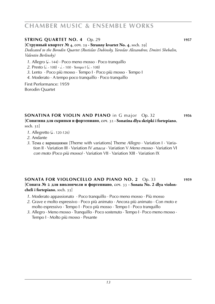#### **STRING QUARTET NO. 4** Op. 29 **1957**

[**Струнный квартет № 4**, соч. 29 **· Strunny kvartet No. 4**, soch. 29] *Dedicated to the Borodin Quartet (Rostislav Dubinsky, Yaroslav Alexandrov, Dmitri Shebalin, Valentin Berlinsky)*

- 1. Allegro ( $\sqrt{ }$  144) · Poco meno mosso · Poco tranquillo
- 2. Presto (d. ~ 108) · d. ~ 100 · Tempo I (d. ~ 108)
- *3*. Lento · Poco più mosso · Tempo I · Poco più mosso · Tempo I
- *4*. Moderato · A tempo poco tranquillo · Poco tranquillo

First Performance: 1959 Borodin Quartet

# **sonatina for violin and piano** in G major Op. 32 **1956**

[**Сонатина для скрипки и фортепиано**, соч. 32 **· Sonatina dlya skripki i fortepiano**, soch. 32]

- *1*. Allegretto (J. 120-126)
- *2*. Andante
- *3*. Тема с вариациями [Theme with variations] Theme *Allegro* · Variation I · Variation II · Variation III · Variation IV *attacca* · Variation V *Meno mosso* · Variation VI *con moto (Poco più mosso)* · Variation VII · Variation XIII · Variation IX

#### **sonata for violoncello and piano no. 2** Op. 33 **1959** [**Соната № 2 для виолончели и фортепиано**, соч. 33 **· Sonata No. 2 dlya violoncheli i fortepiano**, soch. 33]

- *1*. Moderato appassionato · Poco tranquillo · Poco meno mosso · Più mosso
- *2*. Grave e molto espressivo · Poco più animato · Ancora più animato · Con moto e molto espressivo · Tempo I · Poco più mosso · Tempo I · Poco tranquillo
- *3*. Allegro · Meno mosso · Tranquillo · Poco sostenuto · Tempo I · Poco meno mosso · Tempo I · Molto più mosso · Pesante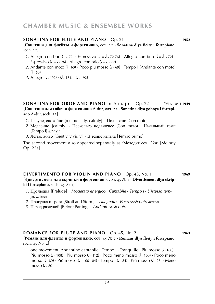#### **sonatina for flute and piano** Op. 21 **1952**

[**Сонатина для флейты и фортепиано**, соч. 21 **· Sonatina dlya fleity i fortepiano**, soch. 21]

- *1*. Allegro con brio ( $\ell > 72$ ) · Espressivo ( $\ell = 72$ -72-76) · Allegro con brio ( $\ell = 72$ ) · Espressivo ( $d = 1 \times 76$ ) · Allegro con brio ( $d = 1 \times 72$ )
- 2. Andante con moto (J<sub>r</sub> 60) · Poco più mosso (J<sub>r</sub> 69) · Tempo I (Andante con moto)  $(1 - 60)$
- *3*. Allegro (J<sub>∼</sub> 192) · (J<sub>∼</sub> 184) · (J<sub>∼</sub> 192)

**sonatina for oboe and piano** in A major Op. 22 (9/16-10/1) **1949** [**Сонатина для гобоя и фортепиано** A-dur, соч. 22 **· Sonatina dlya goboya i fortepiano** A-dur, soch. 22]

- *1*. Певуче, спокойно [melodically, calmly] · Подвижно (Con moto)
- *2*. Медленно [calmly] · Несколько подвижнее (Con moto) · Начальный темп (Tempo I) *attacca*
- *3*. Легко, живо [Gently, vividly] · В темпе начала [Tempo primo]

The second movement also appeared separately as 'Мелодия соч. 22a' [Melody Op. 22a].

#### **divertimento for violin and piano** Op. 45, No. 1 **1969** [**Дивертисмент для скрипки и фортепиано**, соч. 45 № 1 **· Divertisment dlya skripki i fortepiano**, soch. 45 № 1]

- *1*. Прелюдия [Prelude] *Moderato energico* · *Cantabile* · *Tempo I* · *L'istesso tem po attacca*
- *2*. Прогулка и гроза [Stroll and Storm] *Allegretto* · *Poco sostenuto attacca*
- *3*. Перед разлукой [Before Parting] *Andante sostenuto*

#### **romance for flute and piano** Op. 45, No. 2 **1963**

[**Романс для флейты и фортепиано**, соч. 45 № 2 **· Romans dlya fleity i fortepiano**, soch. 45 No. 2]

one movement: Andantino cantabile  $\cdot$  Tempo I  $\cdot$  Tranquillo  $\cdot$  Più mosso (J  $\cdot$  100)  $\cdot$ Più mosso ( $\sqrt{ }$  108) · Più mosso ( $\sqrt{ }$  112) · Poco meno mosso ( $\sqrt{ }$  100) · Poco meno mosso (J ~ 80) · Più mosso (J ~ 100-104) · Tempo I (J ~ 84) · Più mosso (J ~ 96) · Meno mosso  $(1 - 80)$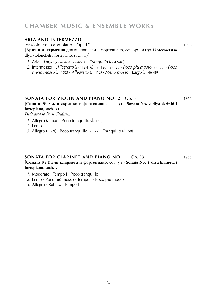#### **aria and intermezzo**

for violoncello and piano Op. 47 **1968**

[**Ария и интермеццо** для виолончели и фортепиано, соч. 47 **· Ariya i intermetstso** dlya violoncheli i fortepiano, soch. 47]

- *1*. Aria *Largo* (4 ~ 42-46) · 4 ~ 48-50 · *Tranquillo* (4 ~ 42-46)
- 2. Intermezzo *Allegretto* (1 ~ 112-116) · 1 120 · 1 ~ 126 · *Poco più mosso* (1 ~ 138) · *Poco meno mosso (*J. 132) · *Allegretto (*J. 112) · *Meno mosso* · *Largo (J. 4*6-48)

#### **sonata for violin and piano no. 2** Op. 51 **1964**

[**Соната № 2 для скрипки и фортепиано**, соч. 51 **· Sonata No. 2 dlya skripki i fortepiano**, soch. 51]

*Dedicated to Boris Goldstein*

1. Allegro ( $\sqrt{ }$ -168) · Poco tranquillo ( $\sqrt{ }$ -152)

*2*. Lento

3. Allegro (J<sub>r</sub> 69) · Poco tranquillo (J. <sub>72</sub>) · Tranquillo (J. <sub>750</sub>)

#### **sonata for clarinet and piano no. 1** Op. 53 **1966**

[**Соната № 1 для кларнета и фортепиано**, соч. 53 **· Sonata No. 1 dlya klarneta i fortepiano**, soch. 53]

- *1*. Moderato · Tempo I · Poco tranquillo
- *2*. Lento · Poco più mosso · Tempo I · Poco più mosso
- *3*. Allegro · Rubato · Tempo I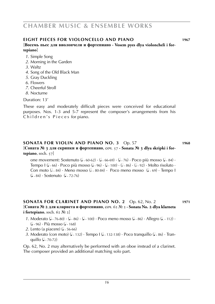#### **eight pieces for violoncello and piano 1967**

#### [**Восемь пьес для виолончели и фортепиано · Vosem pyes dlya violoncheli i fortepiano**]

- *1*. Simple Song
- *2*. Morning in the Garden
- *3*. Waltz
- *4*. Song of the Old Black Man
- *5*. Gray Duckling
- *6*. Flowers
- *7*. Cheerful Stroll
- *8*. Nocturne

Duration: 13'

These easy and moderately difficult pieces were conceived for educational purposes. Nos. 1-3 and 5-7 represent the composer's arrangements from his Children's Pieces for piano.

#### **sonata for violin and piano no. 3** Op. 57 **1968**

#### [**Соната № 3 для скрипки и фортепиано**, соч. 57 **· Sonata № 3 dlya skripki i fortepiano**, soch. 57]

one movement: Sostenuto (J ~ 60-62) · (J ~ 66-69) · (J ~ 76) · Poco più mosso (J ~ 84) ·<br>— Tempo I (<sup>q</sup> ˜ 66) · Poco più mosso (<sup>q</sup> ˜ 96) · (<sup>q</sup> ˜ 100) · (<sup>h</sup> ˜ 86) · (<sup>h</sup> ˜ 92) · Molto risoluto · Con moto  $(1 - 84)$  · Meno mosso  $(1 - 80-84)$  · Poco meno mosso  $(1 - 69)$  · Tempo I  $(1 - 84) \cdot$  Sostenuto  $(1 - 72 - 76)$ 

#### **sonata for clarinet and piano no. 2** Op. 62, No. 2 **1971** [**Соната № 2 для кларнета и фортепиано**, соч. 62 № 2 **· Sonata No. 2 dlya klarneta i fortepiano**, soch. 62 № 2]

- *1*. Moderato (J. ~ 76-80) · (J. ~ 86) · (J. ~ 100) · Poco meno mosso (J. ~ 86) · Allegro (J. ~ 112) · (J ~ 96) · Più mosso (J ~ 168)
	- 2. Lento (a piacere) (2 56-66)
- *3.* Moderato (con moto) (1 ~ 132) · Tempo I (1 ~ 132-138) · Poco tranquillo (1 ~ 86) · Tranquillo (J ~ 70-72)

Op. 62, No. 2 may alternatively be performed with an oboe instead of a clarinet. The composer provided an additional matching solo part.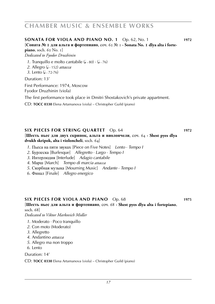**sonata for viola and piano no. 1** Op. 62, No. 1 **1972**

[**Соната № 1 для альта и фортепиано**, соч. 62 № 1 **· Sonata No. 1 dlya alta i fortepiano**, soch. 62 No. 1]

*Dedicated to Fyodor Druzhinin*

1. Tranquillo e molto cantabile ( $\sqrt{3}$   $\approx$  80)  $\cdot$  ( $\sqrt{3}$   $\approx$  76)

- 2. Allegro (**J** ~ 152) *attacca*
- *3*. Lento (**J** ~ 72-76)

Duration: 13'

First Performance: 1974, Moscow

Fyodor Druzhinin (viola)

The first performance took place in Dmitri Shostakovich's private appartment.

CD: **TOCC 0330** Elena Artamanova (viola) – Christopher Guild (piano)

#### **six pieces for string quartet** Op. 64 **1972** [**Шесть пьес для двух скрипок, альта и виолончели**, соч. 64 **· Shest pyes dlya dvukh skripok, alta i violoncheli**, soch. 64]

- *1*. Пьеса на пяти звуках [Piece on Five Notes] *Lento* · *Tempo I*
- *2*. Бурлеска [Burlesque] *Allegretto* · *Largo* · *Tempo I*
- *3*. Интерлюдия [Interlude] *Adagio cantabile*
- *4*. Марш [March] *Tempo di marcia attacca*
- *5*. Скорбная музыка [Mourning Music] *Andante* · *Tempo I*
- *6*. Финал [Finale] *Allegro energico*

#### **six pieces for viola and piano** Op. 68 **1975**

[**Шесть пьес для альта и фортепиано**, соч. 68 **· Shest pyes dlya alta i fortepiano**, soch. 68]

*Dedicated to Viktor Markovich Midler*

- *1*. Moderato · Poco tranquillo
- *2*. Con moto (Moderato)
- *3*. Allegretto
- *4*. Andantino *attacca*
- *5*. Allegro ma non troppo
- *6*. Lento

Duration: 14'

CD: **TOCC 0330** Elena Artamanova (viola) – Christopher Guild (piano)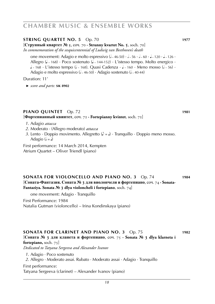#### **STRING QUARTET NO. 5** Op. 70 **1977**

[**Струнный квартет № 5**, соч. 70 **· Strunny kvartet No. 5**, soch. 70] *In commemoration of the sesquicentennial of Ludwig van Beethoven's death*

one movement: Adagio e molto espressivo (d ~ 46-50) · d ~ 56 · d ~ 60 · d ~ 120 · d ~ 126 ·<br>. Allegro (J ~ 168) · Poco sostenuto (J ~ 144-152) · L'istesso tempo. Molto energico ·<br>|  $\downarrow$  ~ 168 · L'istesso tempo ( $\downarrow$  ~ 168). Quasi Cadenza ·  $\downarrow$  ~ 160 · Meno mosso ( $\downarrow$  ~ 56) · Adagio e molto espressivo (1/46-50)  $\cdot$  Adagio sostenuto (1/40-44)

Duration: 11'

 ► *score and parts:* **sik 8902**

#### **piano quintet** Op. 72 **1981**

[**Фортепианный квинтет**, соч. 72 **· Fortepianny kvintet**, soch. 72]

- *1*. Adagio *attacca*
- *2*. Moderato · (Allegro moderato) *attacca*
- *3*. Lento · Doppio movimento. Allegretto  $(\lambda = \lambda)$  · Tranquillo · Doppio meno mosso. Adagio ( $\epsilon = 1$ )

First performance: 14 March 2014, Kempten Atrium Quartet – Oliver Triendl (piano)

#### **sonata for violoncello and piano no. 3** Op. 74 **1984** [**Соната-Фантазия. Соната № 3 для виолончели и фортепиано**, соч. 74 **· Sonata-Fantaziya. Sonata № 3 dlya violoncheli i fortepiano**, soch. 74]

one movement: Adagio · Tranquillo

First Performance: 1984

Natalia Gutman (violoncello) – Irina Kondinskaya (piano)

#### **sonata for clarinet and piano no. 3** Op. 75 **1982** [**Соната № 3 для кланета и фортепиано**, соч. 75 **· Sonata № 3 dlya klarneta i fortepiano,** soch. 75] *Dedicated to Tatyana Sergeeva and Alexander Ivanov 1*. Adagio · Poco sostenuto

*2*. Allegro · Moderato assai. Rubato · Moderato assai · Adagio · Tranquillo

First performance:

Tatyana Sergeeva (clarinet) – Alexander Ivanov (piano)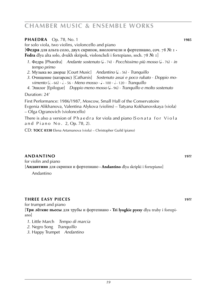#### **PHAEDRA** Op. 78, No. 1 **1985**

for solo viola, two violins, violoncello and piano

[**Федра** для альта соло, двух скрипок, виолончели и фортепиано, соч. 78 № 1 **· Fedra** dlya alta solo, dvukh skripok, violoncheli i fortepiano, soch. 78 № 1]

- 1. Федра [Phaedra] *Andante sostenuto* (1 ~ 74) · *Pocchissimo più mosso* (1 ~ 76) · *in tempo primo*
- 2. Музыка во дворце [Court Music] *Andantino* (J. ~ 56) · *Tranquillo*
- *3*. Очищение (катарсис) [Catharsis] *Sostenuto assai e poco rubato* · *Doppio mo vimento* (*j. ~ 66*) · *J. ~ 56* · *Meno mosso* · *J ~* 100 · *J ~* 120 · *Tranquillo*
- 4. Эпилог [Epilogue] *Doppio meno mosso* ( $\sqrt{ }$  96)  $\cdot$  *Tranquillo e molto sostenuto*

Duration: 24'

First Performance: 1986/1987, Moscow, Small Hall of the Conservatoire Evgenia Alikhanova, Valentina Alykova (violins) – Tatyana Kokhanovskaya (viola) – Olga Ogranovich (violoncello)

There is also a version of Phaedra for viola and piano (Sonata for Viola and Piano No. 2, Op. 78, 2).

CD: **TOCC 0330** Elena Artamanova (viola) – Christopher Guild (piano)

#### **Andantino 19??**

for violin and piano

[**Андантино** для скрипки и фортепиано **· Andantino** dlya skripki i fortepiano]

Andantino

#### **three easy pieces 19??**

for trumpet and piano

[**Три лёгкие пьесы** для трубы и фортепиано **· Tri lyogkie pyesy** dlya truby i fortepiano]

*1*. Little March *Tempo di marcia*

- *2*. Negro Song *Tranquillo*
- *3*. Happy Trumpet *Andantino*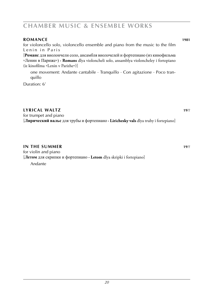#### **romance 1981**

for violoncello solo, violoncello ensemble and piano from the music to the film Lenin in Paris

[**Романс** для виолончели соло, ансамбля виолочелей и фортепиано (из кинофильма »Ленин в Париже«) **· Romans** dlya violoncheli solo, ansamblya violoncheley i fortepiano (iz kinofilma »Lenin v Parizhe«)]

one movement: Andante cantabile · Tranquillo · Con agitazione · Poco tranquillo

Duration: 6'

#### **lyrical waltz 19**??

for trumpet and piano [**Лирический вальс** для трубы и фортепиано **· Lirichesky vals** dlya truby i fortepiano]

#### **in the summer 19**??

for violin and piano [**Летом** для скрипки и фортепиано **· Letom** dlya skripki i fortepiano] Andante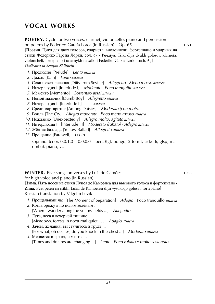### **vocal works**

**POETRY.** Cycle for two voices, clarinet, violoncello, piano and percussion on poems by Federico García Lorca (in Russian) Op. 65 **1971** [**Поэзия.** Цикл для двух голосов, кларнета, виолончели, фортепиано и ударных на стихи Федерико Гарсиа Лорки, соч. 65 **· Poeziya.** Tsikl dlya dvukh golosov, klarneta, violoncheli, fortepiano i udarnykh na stikhi Federiko Garsia Lorki, soch. 65] *Dedicated to Semyon Shlifstein*

- *1*. Прелюдия [Prelude] *Lento attacca*
- *2*. Дождь [Rain] *Lento attacca*
- *3*. Севильская песенка [Ditty from Seville] *Allegretto · Meno mosso attacca*
- *4*. Интерлюдия I [Interlude I] *Moderato · Poco tranquillo attacca*
- *5*. Мементо [Memento] *Sostenuto assai attacca*
- *6*. Немой мальчик [Dumb Boy] *Allegretto attacca*
- *7*. Интерлюдия II [Interlude II] *––– attacca*
- *8*. Среди маргариток [Among Daisies] *Moderato (con moto)*
- *9*. Вопль [The Cry] *Allegro moderato · Poco meno mosso attacca*
- *10*. Нежданно [Unexpectedly] *Allegro molto, agitato attacca*
- *11*. Интерлюдия III [Interlude III] *Moderato (rubato) · Adagio attacca*
- *12*. Жёлтая баллада [Yellow Ballad] *Allegretto attacca*
- *13*. Прощание [Farewell] *Lento*

soprano. tenor.  $0.0.1.0 - 0.0.0.0 -$  perc (tgl, bongo, 2 tom-t, side dr, glsp, marimba). piano, vc

**winter.** Five songs on verses by Luís de Camões **1985**

for high voice and piano (in Russian)

[**Зима.** Пять песен на стихи Луиса де Камоэнса для высокого голоса и фортепиано **· Zima.** Pyat pesen na stikhi Luisa de Kamoensa dlya vysokogo golosa i fortepiano] Russian translation by Vilgelm Levik

- *1*. Прощальный час [The Moment of Separation] *Adagio* · Poco tranquillo *attacca*
- *2*. Когда брожу я по полям зелёным ... [When I wander along the yellow fields ...] *Allegretto*
- *3*. Луга, леса в вечерней тишине ... [Meadows, forests in nocturnal quiet ... ] *Adagio attacca*
- *4*. Зачем, желания, вы стучитесь в грудь ... [For what, oh desires, do you knock in the chest ...] *Moderato attacca*
- *5*. Меняется и время, и мечты ... [Times and dreams are changing ...] *Lento · Poco rubato e molto sostenuto*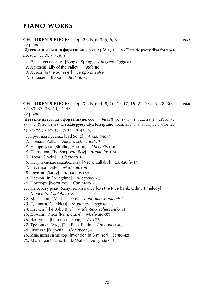#### **CHILDREN'S PIECES** Op. 25, Nos. 3, 5, 6, 8 **1952**

for piano

[**Детские пьесы для фортепиано**, соч. 25 № 3, 5, 6, 8 **· Detskie pyesy dlya fortepiano**, soch. 21 № 3, 5, 6, 8]

- . Весенняя песенка [Song of Spring] *Allegretto leggiero*
- . Ландыш [Lily of the valley] *Andante*
- . Летом [In the Summer] *Tempo di valse*
- . В полдень [Noon] *Andantino*

#### **children's pieces** Op. 39, Nos. 4, 8, 10, 15-17, 19, 22, 23, 25, 28, 30, **1960** 32, 33, 37, 38, 40, 41-43

for piano

[**Детские пьесы для фортепиано**, соч. 39 № 4, 8, 10, 15-17, 19, 22, 23, 25, 28,30, 32, 33, 37, 38, 40, 41-43 **· Detskie pyesy dlya fortepiano**, soch. 41 No. 4, 8, 10, 15-17, 19, 22, 23, 25, 28,30, 32, 33, 37, 38, 40, 41-43]

- . Грустная песенка [Sad Song] *Andantino* (4)
- . Полька [Polka] *Allegro scherzando* (8)
- . На прогулке [Strolling Around] *Allegretto* (10)
- . Пастушок [The Shepherd Boy] *Andantino* (15)
- . Часы [Clocks] *Allegretto* (16)
- . Негритянская колыбельная [Negro Lullaby] *Cantabile* (17)
- . Песенка [Ditty] *Moderato* (19)
- . Грустно [Sadly] *Andantino* (22)
- . Весной [In Springtime] *Allegretto* (23)
- . Ноктюрн [Nocturne] *Con moto* (25)
- . На берегу реки. Удмуртский напев [On the Riverbank. Udmurt melody] *Moderato. Cantabile* (28)
- . Маша спит [Masha sleeps] *Tranquillo. Cantabile* (30)
- . Цыплята [Chicklets] *Moderato. Leggiero* (32)
- . Птенец [The Baby Bird] *Andantino. scherzando* (33)
- . Дождик. Этюд [Rain. Etude] *Moderato* (37)
- . Частушка [Humorous Song] *Vivo* (38)
- . Тропинка. Этюд [The Path. Etude] *Andantino* (40)
- . Фугетта [Fughetta] *Con moto* (41)
- . Инвенция си минор [Invention in B minor] *Lento* (42)
- . Маленький вальс [Little Waltz] *Allegretto* (43)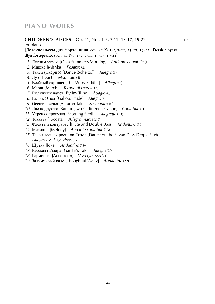#### **children's pieces** Op. 41, Nos. 1-5, 7-11, 13-17, 19-22 **1960**

#### for piano

[**Детские пьесы для фортепиано**, соч. 41 № 1-5, 7-11, 13-17, 19-22 **· Detskie pyesy dlya fortepiano**, soch. 41 No. 1-5, 7-11, 13-17, 19-22]

. Летним утром [On a Summer's Morning] *Andante cantabile* (1)

- . Мишка [Mishka] *Pesante* (2)
- . Танец (Скерцо) [Dance (Scherzo)] *Allegro* (3)
- . Дуэт [Duet] *Moderato* (4)
- . Весёлый скрипач [The Merry Fiddler] *Allegro* (5)
- . Марш [March] *Tempo di marcia* (7)
- . Былинный напев [Byliny Tune] *Adagio* (8)
- . Галоп. Этюд [Gallop. Etude] *Allegro* (9)
- . Осеняя сказка [Autumn Tale] *Sostenuto* (10)
- . Две подружки. Канон [Two Girlfriends. Canon] *Cantabile* (11)
- . Утреняя прогулка [Morning Stroll] *Allegretto* (13)
- . Токката [Toccata] *Allegro marcato* (14)
- . Флейта и контрабас [Flute and Double Bass] *Andantino* (15)
- . Мелодия [Melody] *Andante cantabile* (16)
- . Танец лесных росинок. Этюд [Dance of the Silvan Dew Drops. Etude] *Allegro assai, grazioso* (17)
- . Шутка [Joke] *Andantino* (19)
- . Рассказ гайдара [Gaidar's Tale] *Allegro* (20)
- . Гармошка [Accordion] *Vivo giocoso* (21)
- . Задумчивый валс [Thoughtful Waltz] *Andantino* (22)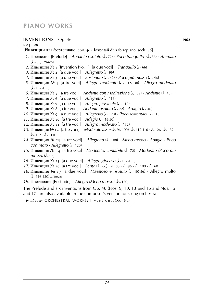#### **inventions** Op. 46 **1962**

#### for piano [**Инвенции** для фортепиано, соч. 46 **· Inventsii** dlya fortepiano, soch. 46] *1*. Прелюдия [Prelude] Andante risoluto (2 × 72) · *Poco tranquillo* (2 × 56) · Animato (q . ˜ 66) *attacca* 2. Инвенция № 1 [Invention No. 1] [a due voci] *Tranquillo* (1 < 66) *3*. Инвенция № 2 [a due voci] *Allegretto* ( $\sqrt{ }$ -96) *4*. Инвенция № 3 [a due voci] . 42) · *Poco più mosso* (J. ~ 46) *5*. Инвенция № 4 [a tre voci] 132-138) · *Allegro moderato*  $\left( \frac{1}{2} \times 132 - 138 \right)$ *6*. Инвенция № 5 [a tre voci] 52) *• Andante* (2,46) *7*. Инвенция № 6 [a due voci] Allegretto  $($ . 116) *8*. Инвенция № 7 [a due voci] Allegro giovinale  $(J. 112)$ *9*. Инвенция № 8 [a tre voci] *Andante risoluto* ( $\sqrt{2}$  > *Adagio* ( $\sqrt{2}$  + 46) *10*. Инвенция № 9 [a due voci] 120) *· Poco sostenuto · •* - 116 *11*. Инвенция № 10 [a tre voci] Adagio ( $-48-50$ ) *12*. Инвенция № 11 [a tre voci] Allegro moderato  $(J - 132)$ *13*. Инвенция № 12 [a tre voci]  $-96-100$   $\cdot \sqrt{2112-116}$   $\cdot \sqrt{2126}$   $\cdot \sqrt{2132}$   $\cdot$  $\overline{\phantom{a}}$  $112 \cdot \sqrt{ }$  - 100 *14*. Инвенция № 13 [a tre voci] *Allegretto* ( 108) · *Meno mosso* · *Adagio* · *Poco con moto* · *Allegretto* ( $\sqrt{2}$  - 120) *15*. Инвенция № 14 [a tre voci] 72) · *Moderato (Poco più*  $mosso)$  ( $\sqrt{2}$  – 92) · *16*. Инвенция № 15 [a due voci] *Allegro giocoso* (2 152-160) *17*. Инвенция № 16 [a tre voci] *Lento* ( $\sqrt{6}$  - 66)  $\cdot$   $\sqrt{2}$  - 80  $\cdot$   $\sqrt{2}$  - 100  $\cdot$   $\sqrt{2}$  - 60 *18*. Инвенция № 17 [a due voci] *Maestoso e risoluto* (J – 80-86) · Allegro molto (<sup>q</sup> ˜ 116-120) *attacca 19*. Постлюдия [Postlude] *Allegro (Meno mosso)* ( $\sqrt{ }$  - 120)

The Prelude and six inventions from Op. 46 (Nos. 9, 10, 13 and 16 and Nos. 12 and 17) are also available in the composer's version for string orchestra.

 ► *also see:* ORCHESTRAL WORKS: I n v e n t i o n s , Op. 46(a)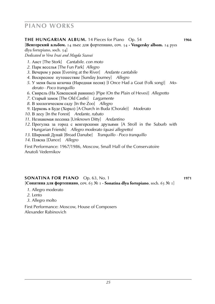#### **the hungarian Album.** 14 Pieces for Piano Op. 54 **1966**

[**Венгерский альбом.** 14 пьес для фортепиано, соч. 54 **· Vengersky albom.** 14 pyes

dlya fortepiano, soch. 54] *Dedicated to Vera Irsai and Magda Szavai*

- *1*. Аист [The Stork] *Cantabile. con moto*
- *2*. Парк веселья [The Fun Park] *Allegro*
- *3*. Вечером у реки [Evening at the River] *Andante cantabile*
- *4*. Воскресное путешествие [Sunday Journey] *Allegro*
- *5*. У меня была козочка (Народная песня) [I Once Had a Goat (Folk song)] *Mo derato* · *Poco tranquillo*
- *6*. Свирель (На Хевешской равнине) [Pipe (On the Plain of Heves)] *Allegretto*
- *7*. Старый замок [The Old Castle] *Largamente*
- *8*. В зоологическом саду [In the Zoo] *Allegro*
- *9*. Церковь в Буде (Хорал) [A Church in Buda (Chorale)] *Moderato*
- *10*. В лесу [In the Forest] *Andante, rubato*
- *11*. Незнакомая песенка [Unknown Ditty] *Andantino*
- *12*. Прогулка за город с венгерскими друзьями [A Stroll in the Suburb with Hungarian Friends] *Allegro moderato (quasi allegretto)*
- *13*. Широкий Дунай [Broad Danube] *Tranquillo · Poco tranquillo*
- *14*. Пляска [Dance] *Allegro*

First Performance: 1967/1986, Moscow, Small Hall of the Conservatoire Anatoli Vedernikov

#### **sONATINA FOR PIANO** Op. 63, No. 1 **1971**

[**Сонатина для фортепиано**, соч. 63 № 1 **· Sonatina dlya fortepiano**, soch. 63 № 1]

- *1*. Allegro moderato
- *2*. Lento
- *3*. Allegro molto

First Performance: Moscow, House of Composers Alexander Rabinovich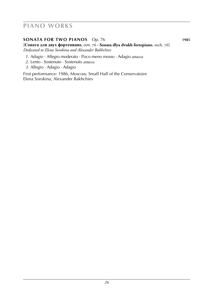#### **sonata for two pianos** Op. 76 **1985**

[**Соната для двух фортепиано**, соч. 76 **· Sonata dlya dvukh fortepiano**, soch. 76] *Dedicated to Elena Sorokina and Alexander Bakhchiev*

- *1*. Adagio · Allegro moderato · Poco meno mosso · Adagio *attacca*
- *2*. Lento · Sostenuto · Sostenuto *attacca*
- *3*. Allegro · Adagio · Adagio

First performance: 1986, Moscow, Small Hall of the Conservatoire Elena Sorokina, Alexander Bakhchiev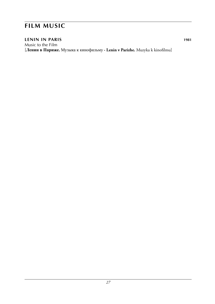### **film music**

### **lenin in paris 1981**

Music to the Film [**Ленин в Париже.** Музыка к кинофильму **· Lenin v Parizhe.** Muzyka k kinofilmu]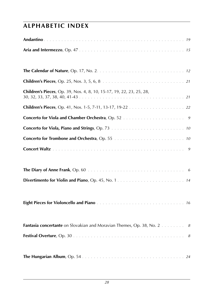# **alphabetic index**

| Children's Pieces, Op. 39, Nos. 4, 8, 10, 15-17, 19, 22, 23, 25, 28,          |
|-------------------------------------------------------------------------------|
|                                                                               |
|                                                                               |
|                                                                               |
|                                                                               |
|                                                                               |
|                                                                               |
|                                                                               |
|                                                                               |
|                                                                               |
|                                                                               |
|                                                                               |
| <b>Fantasia concertante</b> on Slovakian and Moravian Themes, Op. 38, No. 2 8 |
|                                                                               |
|                                                                               |
|                                                                               |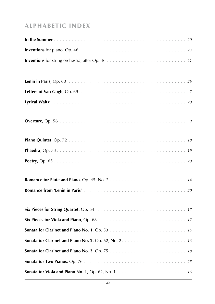# **alphabetic index**